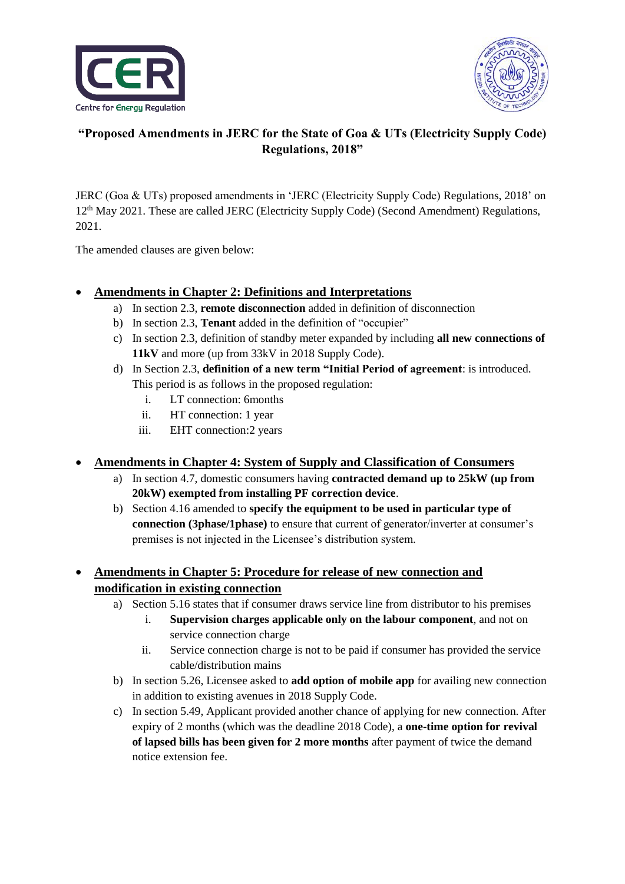



# **"Proposed Amendments in JERC for the State of Goa & UTs (Electricity Supply Code) Regulations, 2018"**

JERC (Goa & UTs) proposed amendments in 'JERC (Electricity Supply Code) Regulations, 2018' on 12<sup>th</sup> May 2021. These are called JERC (Electricity Supply Code) (Second Amendment) Regulations, 2021.

The amended clauses are given below:

### **Amendments in Chapter 2: Definitions and Interpretations**

- a) In section 2.3, **remote disconnection** added in definition of disconnection
- b) In section 2.3, **Tenant** added in the definition of "occupier"
- c) In section 2.3, definition of standby meter expanded by including **all new connections of 11kV** and more (up from 33kV in 2018 Supply Code).
- d) In Section 2.3, **definition of a new term "Initial Period of agreement**: is introduced. This period is as follows in the proposed regulation:
	- i. LT connection: 6months
	- ii. HT connection: 1 year
	- iii. EHT connection:2 years

#### **Amendments in Chapter 4: System of Supply and Classification of Consumers**

- a) In section 4.7, domestic consumers having **contracted demand up to 25kW (up from 20kW) exempted from installing PF correction device**.
- b) Section 4.16 amended to **specify the equipment to be used in particular type of connection (3phase/1phase)** to ensure that current of generator/inverter at consumer's premises is not injected in the Licensee's distribution system.

# **Amendments in Chapter 5: Procedure for release of new connection and modification in existing connection**

- a) Section 5.16 states that if consumer draws service line from distributor to his premises
	- i. **Supervision charges applicable only on the labour component**, and not on service connection charge
	- ii. Service connection charge is not to be paid if consumer has provided the service cable/distribution mains
- b) In section 5.26, Licensee asked to **add option of mobile app** for availing new connection in addition to existing avenues in 2018 Supply Code.
- c) In section 5.49, Applicant provided another chance of applying for new connection. After expiry of 2 months (which was the deadline 2018 Code), a **one-time option for revival of lapsed bills has been given for 2 more months** after payment of twice the demand notice extension fee.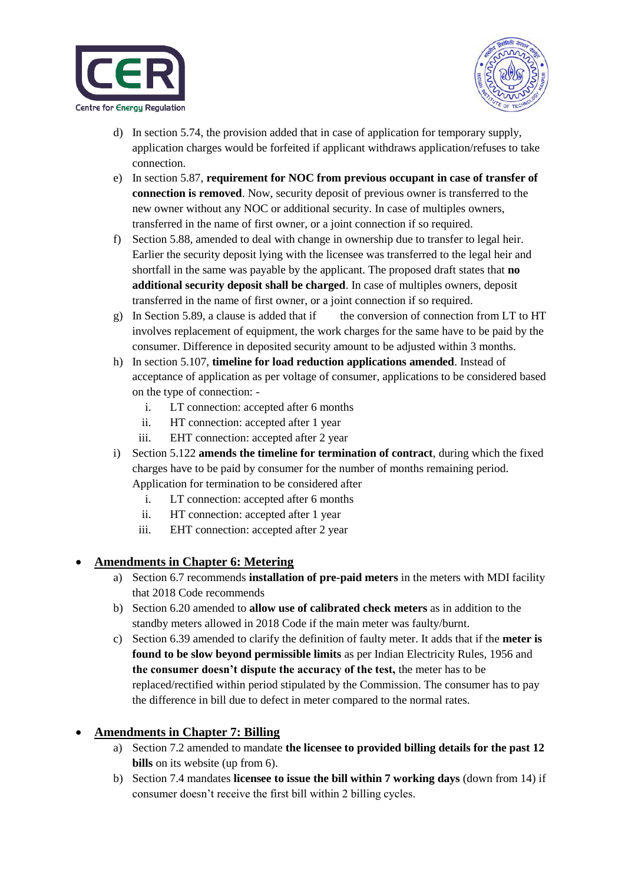



- d) In section 5.74, the provision added that in case of application for temporary supply, application charges would be forfeited if applicant withdraws application/refuses to take connection.
- e) In section 5.87, **requirement for NOC from previous occupant in case of transfer of connection is removed**. Now, security deposit of previous owner is transferred to the new owner without any NOC or additional security. In case of multiples owners, transferred in the name of first owner, or a joint connection if so required.
- f) Section 5.88, amended to deal with change in ownership due to transfer to legal heir. Earlier the security deposit lying with the licensee was transferred to the legal heir and shortfall in the same was payable by the applicant. The proposed draft states that **no additional security deposit shall be charged**. In case of multiples owners, deposit transferred in the name of first owner, or a joint connection if so required.
- g) In Section 5.89, a clause is added that if the conversion of connection from LT to HT involves replacement of equipment, the work charges for the same have to be paid by the consumer. Difference in deposited security amount to be adjusted within 3 months.
- h) In section 5.107, **timeline for load reduction applications amended**. Instead of acceptance of application as per voltage of consumer, applications to be considered based on the type of connection:
	- i. LT connection: accepted after 6 months
	- ii. HT connection: accepted after 1 year
	- iii. EHT connection: accepted after 2 year
- i) Section 5.122 **amends the timeline for termination of contract**, during which the fixed charges have to be paid by consumer for the number of months remaining period. Application for termination to be considered after
	- i. LT connection: accepted after 6 months
	- ii. HT connection: accepted after 1 year
	- iii. EHT connection: accepted after 2 year

## **Amendments in Chapter 6: Metering**

- a) Section 6.7 recommends **installation of pre-paid meters** in the meters with MDI facility that 2018 Code recommends
- b) Section 6.20 amended to **allow use of calibrated check meters** as in addition to the standby meters allowed in 2018 Code if the main meter was faulty/burnt.
- c) Section 6.39 amended to clarify the definition of faulty meter. It adds that if the **meter is found to be slow beyond permissible limits** as per Indian Electricity Rules, 1956 and **the consumer doesn't dispute the accuracy of the test,** the meter has to be replaced/rectified within period stipulated by the Commission. The consumer has to pay the difference in bill due to defect in meter compared to the normal rates.

## **Amendments in Chapter 7: Billing**

- a) Section 7.2 amended to mandate **the licensee to provided billing details for the past 12 bills** on its website (up from 6).
- b) Section 7.4 mandates **licensee to issue the bill within 7 working days** (down from 14) if consumer doesn't receive the first bill within 2 billing cycles.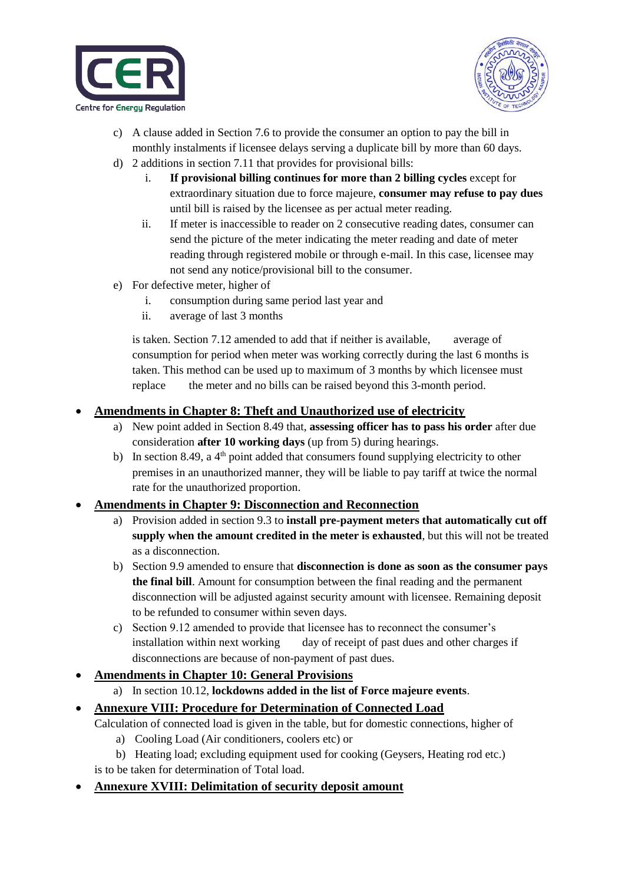



- c) A clause added in Section 7.6 to provide the consumer an option to pay the bill in monthly instalments if licensee delays serving a duplicate bill by more than 60 days.
- d) 2 additions in section 7.11 that provides for provisional bills:
	- i. **If provisional billing continues for more than 2 billing cycles** except for extraordinary situation due to force majeure, **consumer may refuse to pay dues** until bill is raised by the licensee as per actual meter reading.
	- ii. If meter is inaccessible to reader on 2 consecutive reading dates, consumer can send the picture of the meter indicating the meter reading and date of meter reading through registered mobile or through e-mail. In this case, licensee may not send any notice/provisional bill to the consumer.
- e) For defective meter, higher of
	- i. consumption during same period last year and
	- ii. average of last 3 months

is taken. Section 7.12 amended to add that if neither is available, average of consumption for period when meter was working correctly during the last 6 months is taken. This method can be used up to maximum of 3 months by which licensee must replace the meter and no bills can be raised beyond this 3-month period.

#### **Amendments in Chapter 8: Theft and Unauthorized use of electricity**

- a) New point added in Section 8.49 that, **assessing officer has to pass his order** after due consideration **after 10 working days** (up from 5) during hearings.
- b) In section 8.49, a  $4<sup>th</sup>$  point added that consumers found supplying electricity to other premises in an unauthorized manner, they will be liable to pay tariff at twice the normal rate for the unauthorized proportion.

#### **Amendments in Chapter 9: Disconnection and Reconnection**

- a) Provision added in section 9.3 to **install pre-payment meters that automatically cut off supply when the amount credited in the meter is exhausted**, but this will not be treated as a disconnection.
- b) Section 9.9 amended to ensure that **disconnection is done as soon as the consumer pays the final bill**. Amount for consumption between the final reading and the permanent disconnection will be adjusted against security amount with licensee. Remaining deposit to be refunded to consumer within seven days.
- c) Section 9.12 amended to provide that licensee has to reconnect the consumer's installation within next working day of receipt of past dues and other charges if disconnections are because of non-payment of past dues.

#### **Amendments in Chapter 10: General Provisions**

a) In section 10.12, **lockdowns added in the list of Force majeure events**.

#### **Annexure VIII: Procedure for Determination of Connected Load**

Calculation of connected load is given in the table, but for domestic connections, higher of

- a) Cooling Load (Air conditioners, coolers etc) or
- b) Heating load; excluding equipment used for cooking (Geysers, Heating rod etc.)
- is to be taken for determination of Total load.
- **Annexure XVIII: Delimitation of security deposit amount**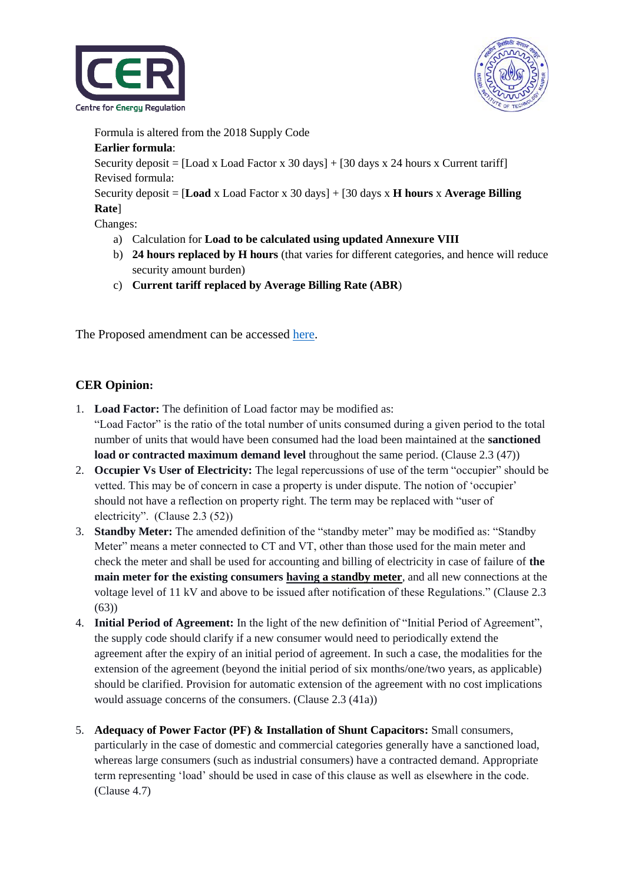



Formula is altered from the 2018 Supply Code

#### **Earlier formula**:

Security deposit =  $[Load x Load Factor x 30 days] + [30 days x 24 hours x Current tariff]$ Revised formula:

Security deposit = [**Load** x Load Factor x 30 days] + [30 days x **H hours** x **Average Billing Rate**]

Changes:

- a) Calculation for **Load to be calculated using updated Annexure VIII**
- b) **24 hours replaced by H hours** (that varies for different categories, and hence will reduce security amount burden)
- c) **Current tariff replaced by Average Billing Rate (ABR**)

The Proposed amendment can be accessed [here.](https://cer.iitk.ac.in/odf_assets/upload_files/Proposed_Amendments_JERC_Supply_Code_2018.pdf)

## **CER Opinion:**

- 1. **Load Factor:** The definition of Load factor may be modified as: "Load Factor" is the ratio of the total number of units consumed during a given period to the total number of units that would have been consumed had the load been maintained at the **sanctioned load or contracted maximum demand level** throughout the same period. (Clause 2.3 (47))
- 2. **Occupier Vs User of Electricity:** The legal repercussions of use of the term "occupier" should be vetted. This may be of concern in case a property is under dispute. The notion of 'occupier' should not have a reflection on property right. The term may be replaced with "user of electricity". (Clause 2.3 (52))
- 3. **Standby Meter:** The amended definition of the "standby meter" may be modified as: "Standby Meter" means a meter connected to CT and VT, other than those used for the main meter and check the meter and shall be used for accounting and billing of electricity in case of failure of **the main meter for the existing consumers having a standby meter**, and all new connections at the voltage level of 11 kV and above to be issued after notification of these Regulations." (Clause 2.3 (63))
- 4. **Initial Period of Agreement:** In the light of the new definition of "Initial Period of Agreement", the supply code should clarify if a new consumer would need to periodically extend the agreement after the expiry of an initial period of agreement. In such a case, the modalities for the extension of the agreement (beyond the initial period of six months/one/two years, as applicable) should be clarified. Provision for automatic extension of the agreement with no cost implications would assuage concerns of the consumers. (Clause 2.3 (41a))
- 5. **Adequacy of Power Factor (PF) & Installation of Shunt Capacitors:** Small consumers, particularly in the case of domestic and commercial categories generally have a sanctioned load, whereas large consumers (such as industrial consumers) have a contracted demand. Appropriate term representing 'load' should be used in case of this clause as well as elsewhere in the code. (Clause 4.7)